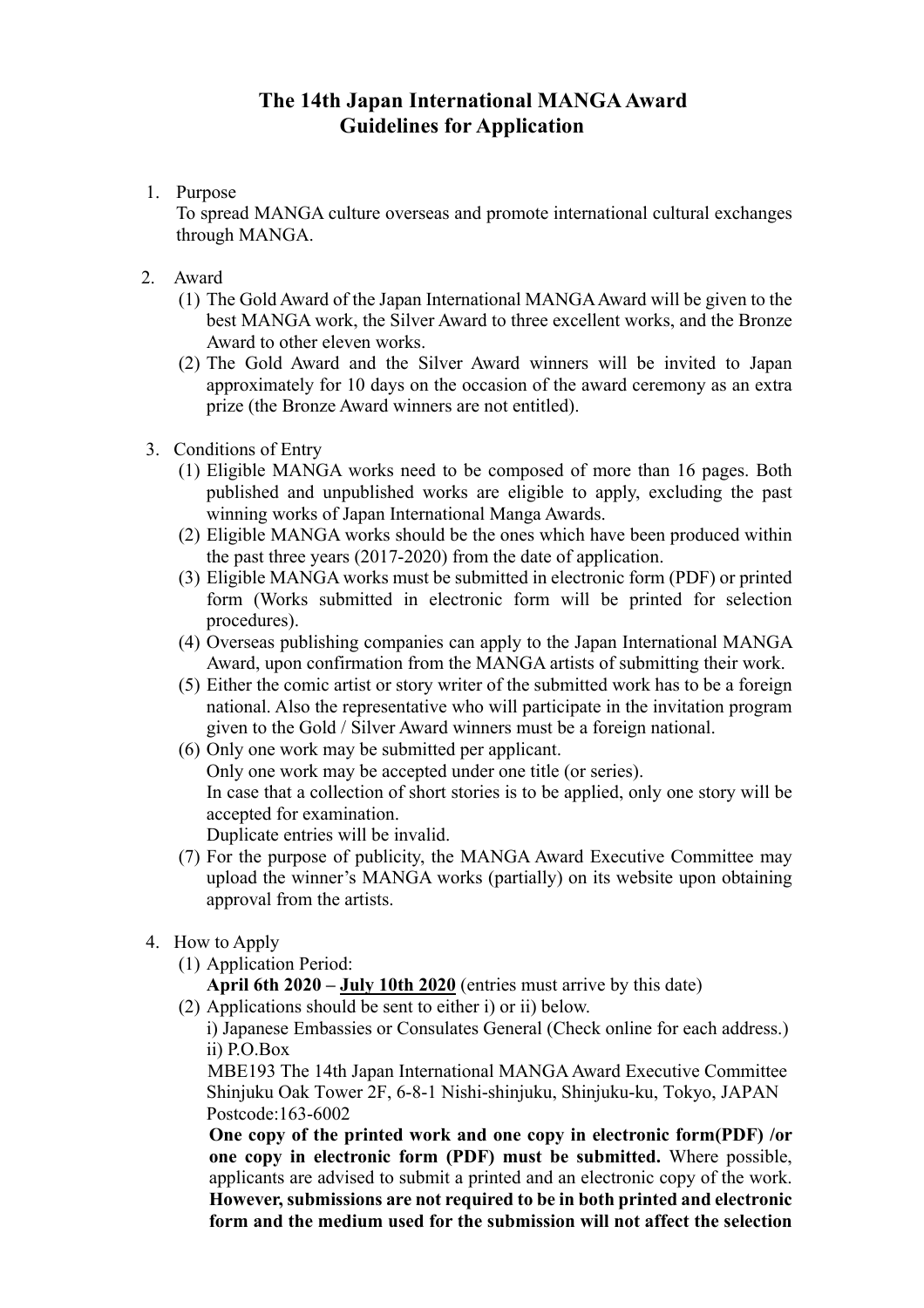## **The 14th Japan International MANGA Award Guidelines for Application**

1. Purpose

To spread MANGA culture overseas and promote international cultural exchanges through MANGA.

- 2. Award
	- (1) The Gold Award of the Japan International MANGA Award will be given to the best MANGA work, the Silver Award to three excellent works, and the Bronze Award to other eleven works.
	- (2) The Gold Award and the Silver Award winners will be invited to Japan approximately for 10 days on the occasion of the award ceremony as an extra prize (the Bronze Award winners are not entitled).
- 3. Conditions of Entry
	- (1) Eligible MANGA works need to be composed of more than 16 pages. Both published and unpublished works are eligible to apply, excluding the past winning works of Japan International Manga Awards.
	- (2) Eligible MANGA works should be the ones which have been produced within the past three years (2017-2020) from the date of application.
	- (3) Eligible MANGA works must be submitted in electronic form (PDF) or printed form (Works submitted in electronic form will be printed for selection procedures).
	- (4) Overseas publishing companies can apply to the Japan International MANGA Award, upon confirmation from the MANGA artists of submitting their work.
	- (5) Either the comic artist or story writer of the submitted work has to be a foreign national. Also the representative who will participate in the invitation program given to the Gold / Silver Award winners must be a foreign national.
	- (6) Only one work may be submitted per applicant. Only one work may be accepted under one title (or series). In case that a collection of short stories is to be applied, only one story will be accepted for examination.

Duplicate entries will be invalid.

- (7) For the purpose of publicity, the MANGA Award Executive Committee may upload the winner's MANGA works (partially) on its website upon obtaining approval from the artists.
- 4. How to Apply
	- (1) Application Period: **April 6th 2020 – July 10th 2020** (entries must arrive by this date)
	- (2) Applications should be sent to either i) or ii) below.

i) Japanese Embassies or Consulates General (Check online for each address.) ii) P.O.Box

 MBE193 The 14th Japan International MANGA Award Executive Committee Shinjuku Oak Tower 2F, 6-8-1 Nishi-shinjuku, Shinjuku-ku, Tokyo, JAPAN Postcode:163-6002

**One copy of the printed work and one copy in electronic form(PDF) /or one copy in electronic form (PDF) must be submitted.** Where possible, applicants are advised to submit a printed and an electronic copy of the work. **However, submissions are not required to be in both printed and electronic form and the medium used for the submission will not affect the selection**